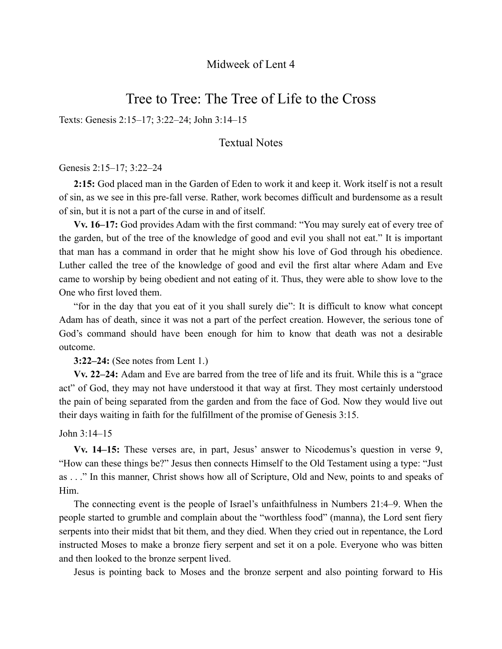## Midweek of Lent 4

# Tree to Tree: The Tree of Life to the Cross

Texts: Genesis 2:15–17; 3:22–24; John 3:14–15

## Textual Notes

#### Genesis 2:15–17; 3:22–24

**2:15:** God placed man in the Garden of Eden to work it and keep it. Work itself is not a result of sin, as we see in this pre-fall verse. Rather, work becomes difficult and burdensome as a result of sin, but it is not a part of the curse in and of itself.

**Vv. 16–17:** God provides Adam with the first command: "You may surely eat of every tree of the garden, but of the tree of the knowledge of good and evil you shall not eat." It is important that man has a command in order that he might show his love of God through his obedience. Luther called the tree of the knowledge of good and evil the first altar where Adam and Eve came to worship by being obedient and not eating of it. Thus, they were able to show love to the One who first loved them.

"for in the day that you eat of it you shall surely die": It is difficult to know what concept Adam has of death, since it was not a part of the perfect creation. However, the serious tone of God's command should have been enough for him to know that death was not a desirable outcome.

#### **3:22–24:** (See notes from Lent 1.)

**Vv. 22–24:** Adam and Eve are barred from the tree of life and its fruit. While this is a "grace act" of God, they may not have understood it that way at first. They most certainly understood the pain of being separated from the garden and from the face of God. Now they would live out their days waiting in faith for the fulfillment of the promise of Genesis 3:15.

#### John 3:14–15

**Vv. 14–15:** These verses are, in part, Jesus' answer to Nicodemus's question in verse 9, "How can these things be?" Jesus then connects Himself to the Old Testament using a type: "Just as . . ." In this manner, Christ shows how all of Scripture, Old and New, points to and speaks of Him.

The connecting event is the people of Israel's unfaithfulness in Numbers 21:4–9. When the people started to grumble and complain about the "worthless food" (manna), the Lord sent fiery serpents into their midst that bit them, and they died. When they cried out in repentance, the Lord instructed Moses to make a bronze fiery serpent and set it on a pole. Everyone who was bitten and then looked to the bronze serpent lived.

Jesus is pointing back to Moses and the bronze serpent and also pointing forward to His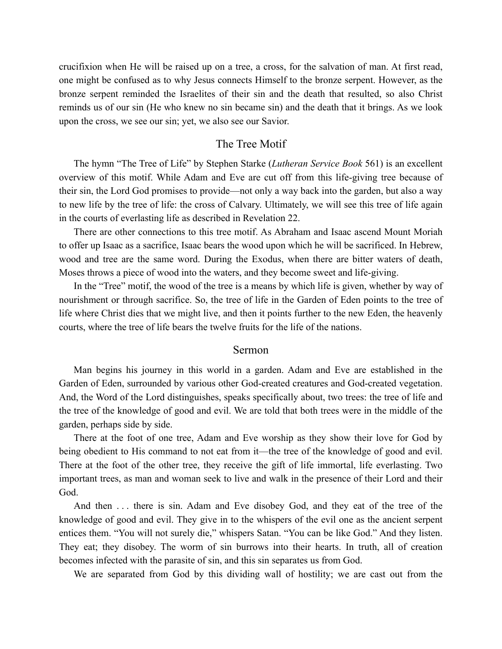crucifixion when He will be raised up on a tree, a cross, for the salvation of man. At first read, one might be confused as to why Jesus connects Himself to the bronze serpent. However, as the bronze serpent reminded the Israelites of their sin and the death that resulted, so also Christ reminds us of our sin (He who knew no sin became sin) and the death that it brings. As we look upon the cross, we see our sin; yet, we also see our Savior.

### The Tree Motif

The hymn "The Tree of Life" by Stephen Starke (*Lutheran Service Book* 561) is an excellent overview of this motif. While Adam and Eve are cut off from this life-giving tree because of their sin, the Lord God promises to provide—not only a way back into the garden, but also a way to new life by the tree of life: the cross of Calvary. Ultimately, we will see this tree of life again in the courts of everlasting life as described in Revelation 22.

There are other connections to this tree motif. As Abraham and Isaac ascend Mount Moriah to offer up Isaac as a sacrifice, Isaac bears the wood upon which he will be sacrificed. In Hebrew, wood and tree are the same word. During the Exodus, when there are bitter waters of death, Moses throws a piece of wood into the waters, and they become sweet and life-giving.

In the "Tree" motif, the wood of the tree is a means by which life is given, whether by way of nourishment or through sacrifice. So, the tree of life in the Garden of Eden points to the tree of life where Christ dies that we might live, and then it points further to the new Eden, the heavenly courts, where the tree of life bears the twelve fruits for the life of the nations.

#### Sermon

Man begins his journey in this world in a garden. Adam and Eve are established in the Garden of Eden, surrounded by various other God-created creatures and God-created vegetation. And, the Word of the Lord distinguishes, speaks specifically about, two trees: the tree of life and the tree of the knowledge of good and evil. We are told that both trees were in the middle of the garden, perhaps side by side.

There at the foot of one tree, Adam and Eve worship as they show their love for God by being obedient to His command to not eat from it—the tree of the knowledge of good and evil. There at the foot of the other tree, they receive the gift of life immortal, life everlasting. Two important trees, as man and woman seek to live and walk in the presence of their Lord and their God.

And then . . . there is sin. Adam and Eve disobey God, and they eat of the tree of the knowledge of good and evil. They give in to the whispers of the evil one as the ancient serpent entices them. "You will not surely die," whispers Satan. "You can be like God." And they listen. They eat; they disobey. The worm of sin burrows into their hearts. In truth, all of creation becomes infected with the parasite of sin, and this sin separates us from God.

We are separated from God by this dividing wall of hostility; we are cast out from the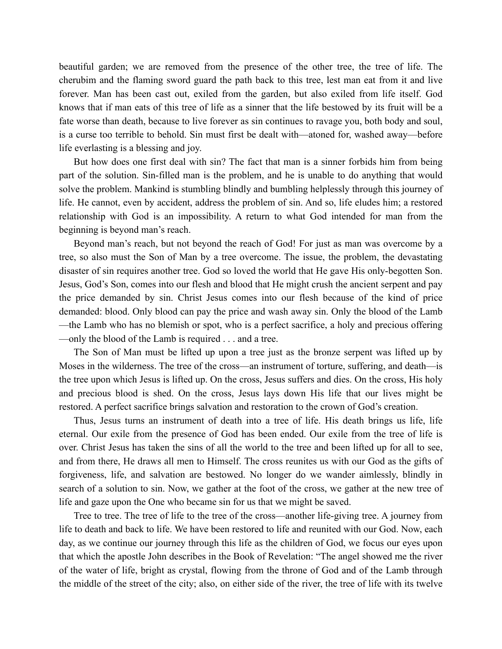beautiful garden; we are removed from the presence of the other tree, the tree of life. The cherubim and the flaming sword guard the path back to this tree, lest man eat from it and live forever. Man has been cast out, exiled from the garden, but also exiled from life itself. God knows that if man eats of this tree of life as a sinner that the life bestowed by its fruit will be a fate worse than death, because to live forever as sin continues to ravage you, both body and soul, is a curse too terrible to behold. Sin must first be dealt with—atoned for, washed away—before life everlasting is a blessing and joy.

But how does one first deal with sin? The fact that man is a sinner forbids him from being part of the solution. Sin-filled man is the problem, and he is unable to do anything that would solve the problem. Mankind is stumbling blindly and bumbling helplessly through this journey of life. He cannot, even by accident, address the problem of sin. And so, life eludes him; a restored relationship with God is an impossibility. A return to what God intended for man from the beginning is beyond man's reach.

Beyond man's reach, but not beyond the reach of God! For just as man was overcome by a tree, so also must the Son of Man by a tree overcome. The issue, the problem, the devastating disaster of sin requires another tree. God so loved the world that He gave His only-begotten Son. Jesus, God's Son, comes into our flesh and blood that He might crush the ancient serpent and pay the price demanded by sin. Christ Jesus comes into our flesh because of the kind of price demanded: blood. Only blood can pay the price and wash away sin. Only the blood of the Lamb —the Lamb who has no blemish or spot, who is a perfect sacrifice, a holy and precious offering —only the blood of the Lamb is required . . . and a tree.

The Son of Man must be lifted up upon a tree just as the bronze serpent was lifted up by Moses in the wilderness. The tree of the cross—an instrument of torture, suffering, and death—is the tree upon which Jesus is lifted up. On the cross, Jesus suffers and dies. On the cross, His holy and precious blood is shed. On the cross, Jesus lays down His life that our lives might be restored. A perfect sacrifice brings salvation and restoration to the crown of God's creation.

Thus, Jesus turns an instrument of death into a tree of life. His death brings us life, life eternal. Our exile from the presence of God has been ended. Our exile from the tree of life is over. Christ Jesus has taken the sins of all the world to the tree and been lifted up for all to see, and from there, He draws all men to Himself. The cross reunites us with our God as the gifts of forgiveness, life, and salvation are bestowed. No longer do we wander aimlessly, blindly in search of a solution to sin. Now, we gather at the foot of the cross, we gather at the new tree of life and gaze upon the One who became sin for us that we might be saved.

Tree to tree. The tree of life to the tree of the cross—another life-giving tree. A journey from life to death and back to life. We have been restored to life and reunited with our God. Now, each day, as we continue our journey through this life as the children of God, we focus our eyes upon that which the apostle John describes in the Book of Revelation: "The angel showed me the river of the water of life, bright as crystal, flowing from the throne of God and of the Lamb through the middle of the street of the city; also, on either side of the river, the tree of life with its twelve